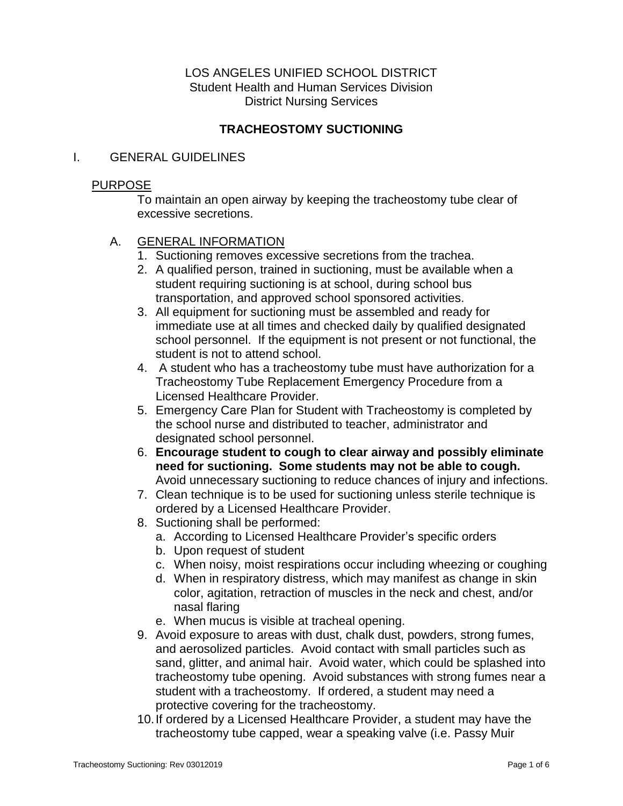## LOS ANGELES UNIFIED SCHOOL DISTRICT Student Health and Human Services Division District Nursing Services

# **TRACHEOSTOMY SUCTIONING**

### I. GENERAL GUIDELINES

### PURPOSE

To maintain an open airway by keeping the tracheostomy tube clear of excessive secretions.

## A. GENERAL INFORMATION

- 1. Suctioning removes excessive secretions from the trachea.
- 2. A qualified person, trained in suctioning, must be available when a student requiring suctioning is at school, during school bus transportation, and approved school sponsored activities.
- 3. All equipment for suctioning must be assembled and ready for immediate use at all times and checked daily by qualified designated school personnel. If the equipment is not present or not functional, the student is not to attend school.
- 4. A student who has a tracheostomy tube must have authorization for a Tracheostomy Tube Replacement Emergency Procedure from a Licensed Healthcare Provider.
- 5. Emergency Care Plan for Student with Tracheostomy is completed by the school nurse and distributed to teacher, administrator and designated school personnel.
- 6. **Encourage student to cough to clear airway and possibly eliminate need for suctioning. Some students may not be able to cough.** Avoid unnecessary suctioning to reduce chances of injury and infections.
- 7. Clean technique is to be used for suctioning unless sterile technique is ordered by a Licensed Healthcare Provider.
- 8. Suctioning shall be performed:
	- a. According to Licensed Healthcare Provider's specific orders
	- b. Upon request of student
	- c. When noisy, moist respirations occur including wheezing or coughing
	- d. When in respiratory distress, which may manifest as change in skin color, agitation, retraction of muscles in the neck and chest, and/or nasal flaring
	- e. When mucus is visible at tracheal opening.
- 9. Avoid exposure to areas with dust, chalk dust, powders, strong fumes, and aerosolized particles. Avoid contact with small particles such as sand, glitter, and animal hair. Avoid water, which could be splashed into tracheostomy tube opening. Avoid substances with strong fumes near a student with a tracheostomy. If ordered, a student may need a protective covering for the tracheostomy.
- 10.If ordered by a Licensed Healthcare Provider, a student may have the tracheostomy tube capped, wear a speaking valve (i.e. Passy Muir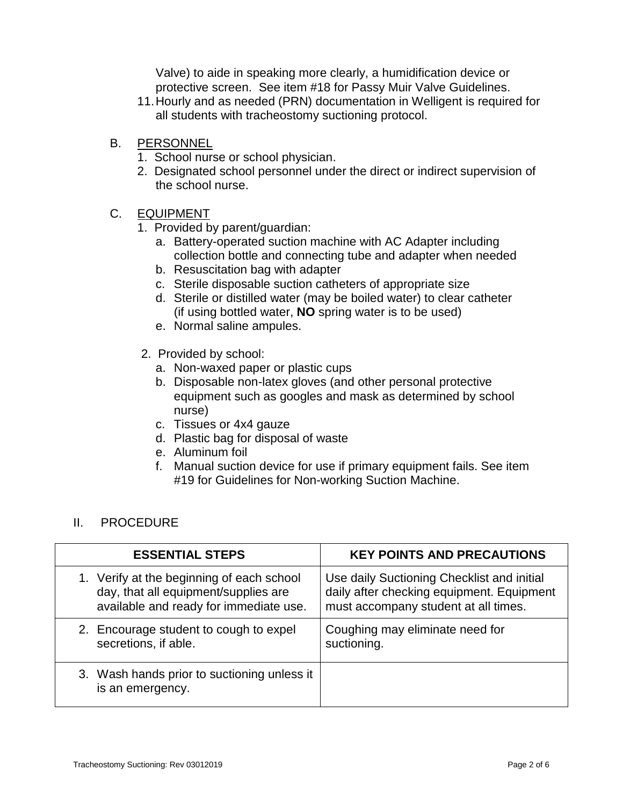Valve) to aide in speaking more clearly, a humidification device or protective screen. See item #18 for Passy Muir Valve Guidelines.

- 11.Hourly and as needed (PRN) documentation in Welligent is required for all students with tracheostomy suctioning protocol.
- B. PERSONNEL
	- 1. School nurse or school physician.
	- 2. Designated school personnel under the direct or indirect supervision of the school nurse.

## C. EQUIPMENT

- 1. Provided by parent/guardian:
	- a. Battery-operated suction machine with AC Adapter including collection bottle and connecting tube and adapter when needed
	- b. Resuscitation bag with adapter
	- c. Sterile disposable suction catheters of appropriate size
	- d. Sterile or distilled water (may be boiled water) to clear catheter (if using bottled water, **NO** spring water is to be used)
	- e. Normal saline ampules.
- 2. Provided by school:
	- a. Non-waxed paper or plastic cups
	- b. Disposable non-latex gloves (and other personal protective equipment such as googles and mask as determined by school nurse)
	- c. Tissues or 4x4 gauze
	- d. Plastic bag for disposal of waste
	- e. Aluminum foil
	- f. Manual suction device for use if primary equipment fails. See item #19 for Guidelines for Non-working Suction Machine.

# II. PROCEDURE

| <b>ESSENTIAL STEPS</b>                                          | <b>KEY POINTS AND PRECAUTIONS</b>          |
|-----------------------------------------------------------------|--------------------------------------------|
| 1. Verify at the beginning of each school                       | Use daily Suctioning Checklist and initial |
| day, that all equipment/supplies are                            | daily after checking equipment. Equipment  |
| available and ready for immediate use.                          | must accompany student at all times.       |
| 2. Encourage student to cough to expel                          | Coughing may eliminate need for            |
| secretions, if able.                                            | suctioning.                                |
| 3. Wash hands prior to suctioning unless it<br>is an emergency. |                                            |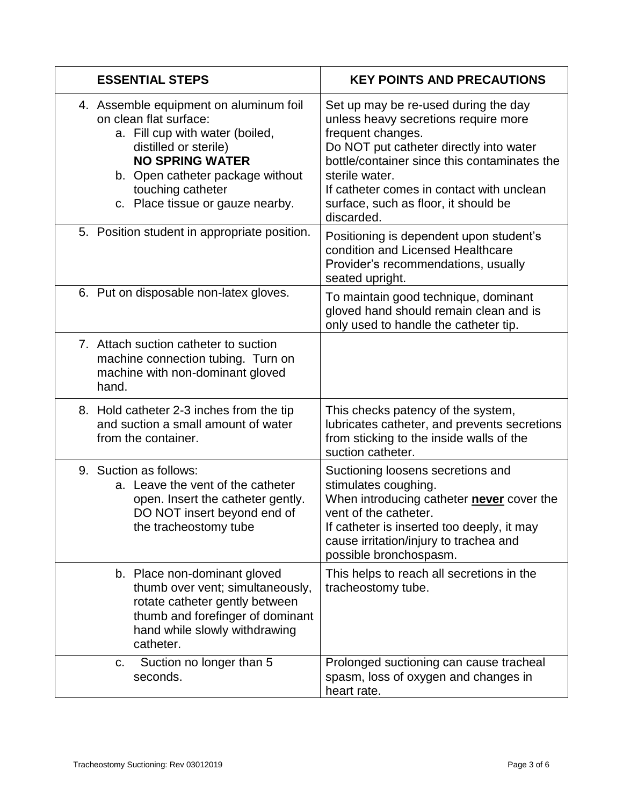| <b>ESSENTIAL STEPS</b>                                                                                                                                                                                                                              | <b>KEY POINTS AND PRECAUTIONS</b>                                                                                                                                                                                                                                                                                 |
|-----------------------------------------------------------------------------------------------------------------------------------------------------------------------------------------------------------------------------------------------------|-------------------------------------------------------------------------------------------------------------------------------------------------------------------------------------------------------------------------------------------------------------------------------------------------------------------|
| 4. Assemble equipment on aluminum foil<br>on clean flat surface:<br>a. Fill cup with water (boiled,<br>distilled or sterile)<br><b>NO SPRING WATER</b><br>b. Open catheter package without<br>touching catheter<br>c. Place tissue or gauze nearby. | Set up may be re-used during the day<br>unless heavy secretions require more<br>frequent changes.<br>Do NOT put catheter directly into water<br>bottle/container since this contaminates the<br>sterile water.<br>If catheter comes in contact with unclean<br>surface, such as floor, it should be<br>discarded. |
| 5. Position student in appropriate position.                                                                                                                                                                                                        | Positioning is dependent upon student's<br>condition and Licensed Healthcare<br>Provider's recommendations, usually<br>seated upright.                                                                                                                                                                            |
| 6. Put on disposable non-latex gloves.                                                                                                                                                                                                              | To maintain good technique, dominant<br>gloved hand should remain clean and is<br>only used to handle the catheter tip.                                                                                                                                                                                           |
| 7. Attach suction catheter to suction<br>machine connection tubing. Turn on<br>machine with non-dominant gloved<br>hand.                                                                                                                            |                                                                                                                                                                                                                                                                                                                   |
| 8. Hold catheter 2-3 inches from the tip<br>and suction a small amount of water<br>from the container.                                                                                                                                              | This checks patency of the system,<br>lubricates catheter, and prevents secretions<br>from sticking to the inside walls of the<br>suction catheter.                                                                                                                                                               |
| 9. Suction as follows:<br>a. Leave the vent of the catheter<br>open. Insert the catheter gently.<br>DO NOT insert beyond end of<br>the tracheostomy tube                                                                                            | Suctioning loosens secretions and<br>stimulates coughing.<br>When introducing catheter never cover the<br>vent of the catheter.<br>If catheter is inserted too deeply, it may<br>cause irritation/injury to trachea and<br>possible bronchospasm.                                                                 |
| b. Place non-dominant gloved<br>thumb over vent; simultaneously,<br>rotate catheter gently between<br>thumb and forefinger of dominant<br>hand while slowly withdrawing<br>catheter.                                                                | This helps to reach all secretions in the<br>tracheostomy tube.                                                                                                                                                                                                                                                   |
| Suction no longer than 5<br>C.<br>seconds.                                                                                                                                                                                                          | Prolonged suctioning can cause tracheal<br>spasm, loss of oxygen and changes in<br>heart rate.                                                                                                                                                                                                                    |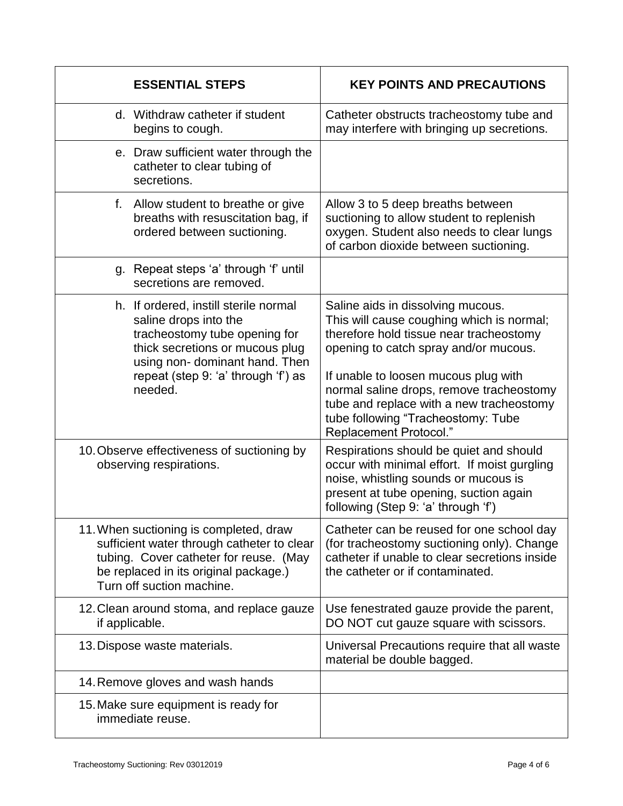| <b>ESSENTIAL STEPS</b>                                                                                                                                                                                                | <b>KEY POINTS AND PRECAUTIONS</b>                                                                                                                                                                                                                                                                  |
|-----------------------------------------------------------------------------------------------------------------------------------------------------------------------------------------------------------------------|----------------------------------------------------------------------------------------------------------------------------------------------------------------------------------------------------------------------------------------------------------------------------------------------------|
| d. Withdraw catheter if student<br>begins to cough.                                                                                                                                                                   | Catheter obstructs tracheostomy tube and<br>may interfere with bringing up secretions.                                                                                                                                                                                                             |
| e. Draw sufficient water through the<br>catheter to clear tubing of<br>secretions.                                                                                                                                    |                                                                                                                                                                                                                                                                                                    |
| f. Allow student to breathe or give<br>breaths with resuscitation bag, if<br>ordered between suctioning.                                                                                                              | Allow 3 to 5 deep breaths between<br>suctioning to allow student to replenish<br>oxygen. Student also needs to clear lungs<br>of carbon dioxide between suctioning.                                                                                                                                |
| g. Repeat steps 'a' through 'f' until<br>secretions are removed.                                                                                                                                                      |                                                                                                                                                                                                                                                                                                    |
| h. If ordered, instill sterile normal<br>saline drops into the<br>tracheostomy tube opening for<br>thick secretions or mucous plug<br>using non-dominant hand. Then<br>repeat (step 9: 'a' through 'f') as<br>needed. | Saline aids in dissolving mucous.<br>This will cause coughing which is normal;<br>therefore hold tissue near tracheostomy<br>opening to catch spray and/or mucous.<br>If unable to loosen mucous plug with<br>normal saline drops, remove tracheostomy<br>tube and replace with a new tracheostomy |
|                                                                                                                                                                                                                       | tube following "Tracheostomy: Tube<br>Replacement Protocol."                                                                                                                                                                                                                                       |
| 10. Observe effectiveness of suctioning by<br>observing respirations.                                                                                                                                                 | Respirations should be quiet and should<br>occur with minimal effort. If moist gurgling<br>noise, whistling sounds or mucous is<br>present at tube opening, suction again<br>following (Step 9: 'a' through 'f')                                                                                   |
| 11. When suctioning is completed, draw<br>sufficient water through catheter to clear<br>tubing. Cover catheter for reuse. (May<br>be replaced in its original package.)<br>Turn off suction machine.                  | Catheter can be reused for one school day<br>(for tracheostomy suctioning only). Change<br>catheter if unable to clear secretions inside<br>the catheter or if contaminated.                                                                                                                       |
| 12. Clean around stoma, and replace gauze<br>if applicable.                                                                                                                                                           | Use fenestrated gauze provide the parent,<br>DO NOT cut gauze square with scissors.                                                                                                                                                                                                                |
| 13. Dispose waste materials.                                                                                                                                                                                          | Universal Precautions require that all waste<br>material be double bagged.                                                                                                                                                                                                                         |
| 14. Remove gloves and wash hands                                                                                                                                                                                      |                                                                                                                                                                                                                                                                                                    |
| 15. Make sure equipment is ready for<br>immediate reuse.                                                                                                                                                              |                                                                                                                                                                                                                                                                                                    |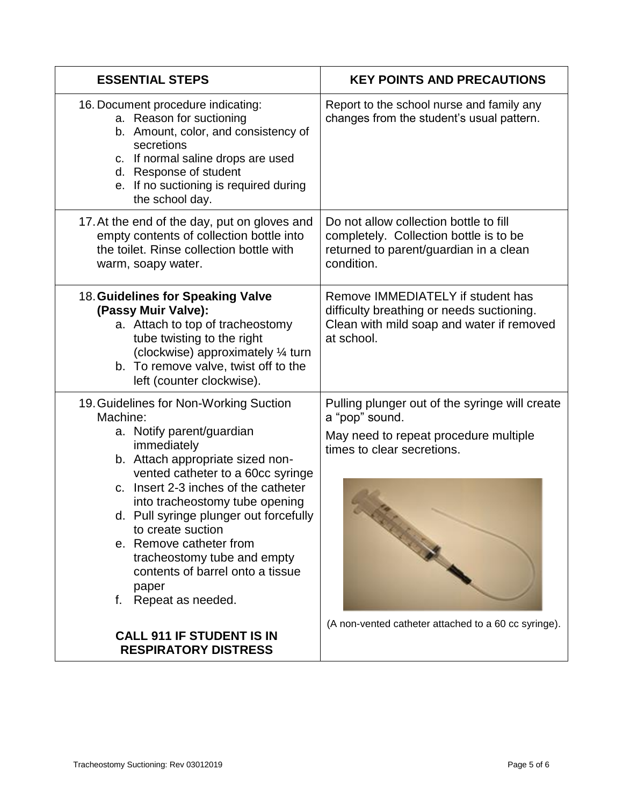| <b>ESSENTIAL STEPS</b>                                                                                                                                                                                                                                                                                                                                                                                                                             | <b>KEY POINTS AND PRECAUTIONS</b>                                                                                                         |
|----------------------------------------------------------------------------------------------------------------------------------------------------------------------------------------------------------------------------------------------------------------------------------------------------------------------------------------------------------------------------------------------------------------------------------------------------|-------------------------------------------------------------------------------------------------------------------------------------------|
| 16. Document procedure indicating:<br>a. Reason for suctioning<br>b. Amount, color, and consistency of<br>secretions<br>c. If normal saline drops are used<br>d. Response of student<br>e. If no suctioning is required during<br>the school day.                                                                                                                                                                                                  | Report to the school nurse and family any<br>changes from the student's usual pattern.                                                    |
| 17. At the end of the day, put on gloves and<br>empty contents of collection bottle into<br>the toilet. Rinse collection bottle with<br>warm, soapy water.                                                                                                                                                                                                                                                                                         | Do not allow collection bottle to fill<br>completely. Collection bottle is to be<br>returned to parent/guardian in a clean<br>condition.  |
| 18. Guidelines for Speaking Valve<br>(Passy Muir Valve):<br>a. Attach to top of tracheostomy<br>tube twisting to the right<br>(clockwise) approximately 1/4 turn<br>b. To remove valve, twist off to the<br>left (counter clockwise).                                                                                                                                                                                                              | Remove IMMEDIATELY if student has<br>difficulty breathing or needs suctioning.<br>Clean with mild soap and water if removed<br>at school. |
| 19. Guidelines for Non-Working Suction<br>Machine:<br>a. Notify parent/guardian<br>immediately<br>b. Attach appropriate sized non-<br>vented catheter to a 60cc syringe<br>c. Insert 2-3 inches of the catheter<br>into tracheostomy tube opening<br>d. Pull syringe plunger out forcefully<br>to create suction<br>e. Remove catheter from<br>tracheostomy tube and empty<br>contents of barrel onto a tissue<br>paper<br>Repeat as needed.<br>f. | Pulling plunger out of the syringe will create<br>a "pop" sound.<br>May need to repeat procedure multiple<br>times to clear secretions.   |
| <b>CALL 911 IF STUDENT IS IN</b><br><b>RESPIRATORY DISTRESS</b>                                                                                                                                                                                                                                                                                                                                                                                    | (A non-vented catheter attached to a 60 cc syringe).                                                                                      |